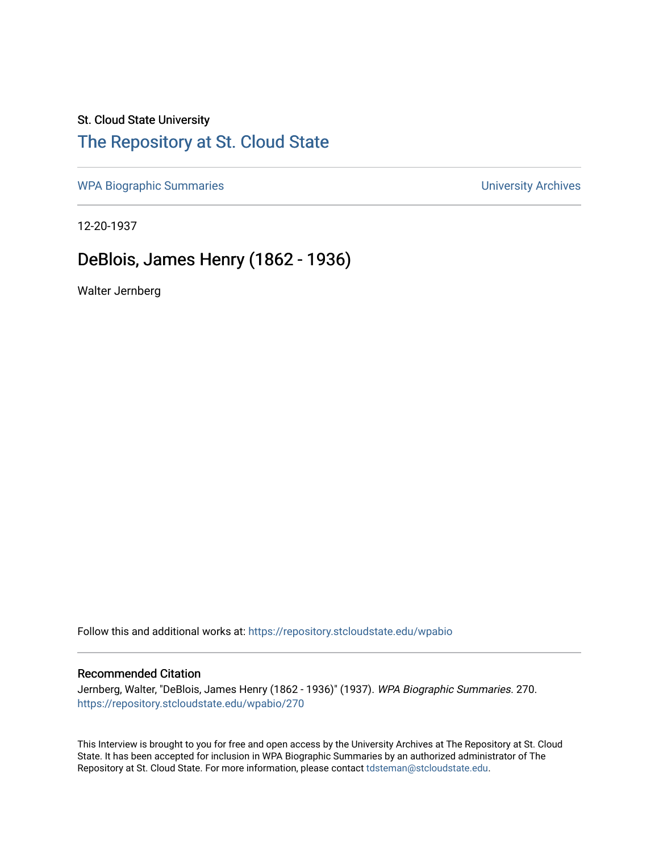### St. Cloud State University

# [The Repository at St. Cloud State](https://repository.stcloudstate.edu/)

[WPA Biographic Summaries](https://repository.stcloudstate.edu/wpabio) **WPA Biographic Summaries University Archives** 

12-20-1937

## DeBlois, James Henry (1862 - 1936)

Walter Jernberg

Follow this and additional works at: [https://repository.stcloudstate.edu/wpabio](https://repository.stcloudstate.edu/wpabio?utm_source=repository.stcloudstate.edu%2Fwpabio%2F270&utm_medium=PDF&utm_campaign=PDFCoverPages) 

### Recommended Citation

Jernberg, Walter, "DeBlois, James Henry (1862 - 1936)" (1937). WPA Biographic Summaries. 270. [https://repository.stcloudstate.edu/wpabio/270](https://repository.stcloudstate.edu/wpabio/270?utm_source=repository.stcloudstate.edu%2Fwpabio%2F270&utm_medium=PDF&utm_campaign=PDFCoverPages) 

This Interview is brought to you for free and open access by the University Archives at The Repository at St. Cloud State. It has been accepted for inclusion in WPA Biographic Summaries by an authorized administrator of The Repository at St. Cloud State. For more information, please contact [tdsteman@stcloudstate.edu.](mailto:tdsteman@stcloudstate.edu)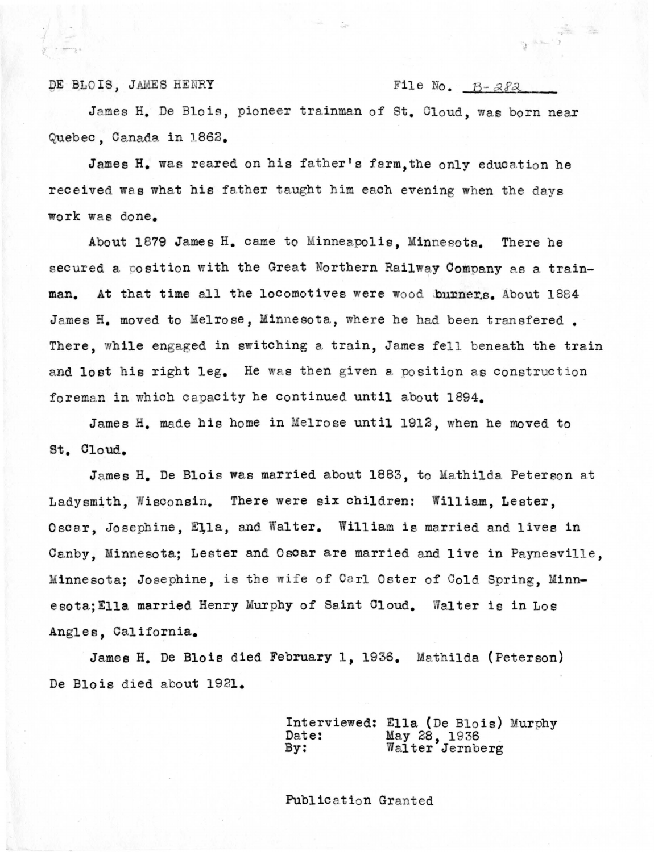DE BLOIS, JAMES HENRY File No.  $B - \alpha \delta \lambda$ 

 $\frac{1}{\sqrt{2}}$ 

James H. De Blois, pioneer trainman of St. Cloud, was born near Quebec, Canada in 1862.

James H. was reared on his father's farm, the only education he received was what his father taught him each evening when the days work was done.

About 1879 James H. came to Minneapolis, Minnesota. There he secured a position with the Great Northern Railway Company as a trainman. At that time all the locomotives were wood burners. About 1884 James H. moved to Melrose, Minnesota, where he had been transfered. There, while engaged in switching a train, James fell beneath the train and lost his right leg. He was then given a position as construction foreman in which capacity he continued until about 1894.

James H. made his home in Melrose until 1912, when he moved to st. Cloud.

James H. De Blois was married about 1883, to Mathilda Peterson at Ladysmith, Wisconsin. There were six children: William, Lester, Oscar, Josephine, Ella, and Walter. William is married and lives in Canby, Minnesota; Lester and Oscar are married and live in Paynesville, Minnesota; Josephine, is the wife of Carl Oster of Cold Spring, Minnesota; Ella married Henry Murphy of Saint Cloud. Walter is in Los Angles, California.

James H. De Blois died February 1, 1936. Mathilda (Peterson) De Blois died about 1921.

> Interviewed: Ella (De Blois) Murphy<br>Date: May 28, 1936 Date: May 28, 1936 By: Walter Jernberg

Publication Granted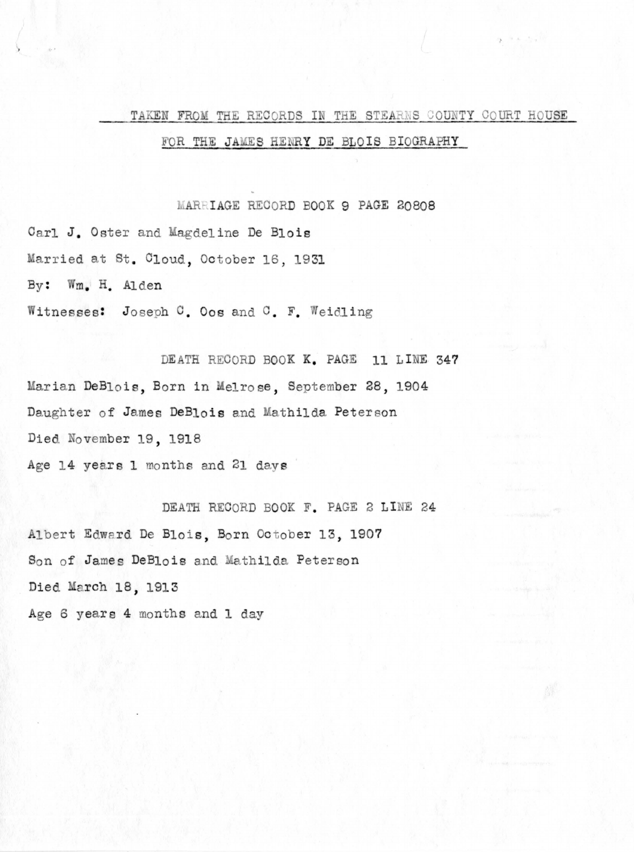# TAKEN FROM THE RECORDS IN THE STEARNS COUNTY COURT HOUSE

 $9 - 3 = 3.5$ 

### FOR THE JAMES HENRY DE BLOIS BIOGRAPHY

MARRIAGE RECORD BOOK 9 PAGE 20808

Carl J. Oster and Magdeline De Blois Married at St. Cloud, October 16, 1931 By: Wm. H. Alden Witnesses: Joseph C. Oos and C. F. Weidling

DEATH RECORD BOOK K. PAGE 11 LINE 347 Marian DeBlois, Born in Melrose, September 28, 1904 Daughter of James DeBlois and Mathilda Peterson Died November 19, 1918 Age 14 years 1 months and 21 days

DEATH RECORD BOOK F. PAGE 2 LINE 24 Albert Edward De Blois, Born October 13, 1907 Son of James DeBlois and Mathilda Peterson Died March 18, 1913 Age 6 years 4 months and 1 day